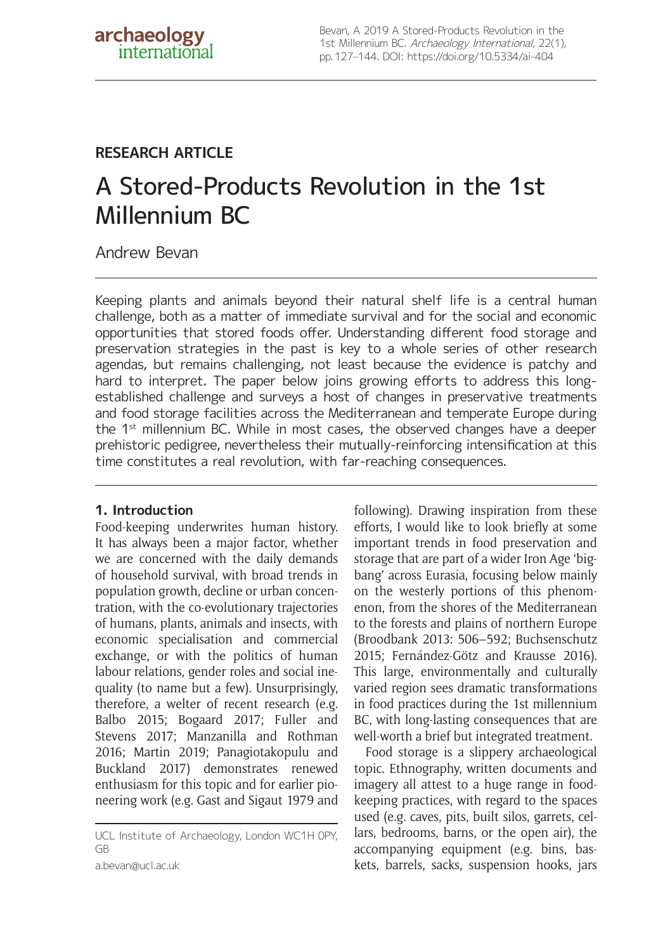## **RESEARCH ARTICLE**

# A Stored-Products Revolution in the 1st Millennium BC

Andrew Bevan

Keeping plants and animals beyond their natural shelf life is a central human challenge, both as a matter of immediate survival and for the social and economic opportunities that stored foods offer. Understanding different food storage and preservation strategies in the past is key to a whole series of other research agendas, but remains challenging, not least because the evidence is patchy and hard to interpret. The paper below joins growing efforts to address this longestablished challenge and surveys a host of changes in preservative treatments and food storage facilities across the Mediterranean and temperate Europe during the 1st millennium BC. While in most cases, the observed changes have a deeper prehistoric pedigree, nevertheless their mutually-reinforcing intensification at this time constitutes a real revolution, with far-reaching consequences.

### **1. Introduction**

Food-keeping underwrites human history. It has always been a major factor, whether we are concerned with the daily demands of household survival, with broad trends in population growth, decline or urban concentration, with the co-evolutionary trajectories of humans, plants, animals and insects, with economic specialisation and commercial exchange, or with the politics of human labour relations, gender roles and social inequality (to name but a few). Unsurprisingly, therefore, a welter of recent research (e.g. Balbo 2015; Bogaard 2017; Fuller and Stevens 2017; Manzanilla and Rothman 2016; Martin 2019; Panagiotakopulu and Buckland 2017) demonstrates renewed enthusiasm for this topic and for earlier pioneering work (e.g. Gast and Sigaut 1979 and

[a.bevan@ucl.ac.uk](mailto:a.bevan@ucl.ac.uk)

following). Drawing inspiration from these efforts, I would like to look briefly at some important trends in food preservation and storage that are part of a wider Iron Age 'bigbang' across Eurasia, focusing below mainly on the westerly portions of this phenomenon, from the shores of the Mediterranean to the forests and plains of northern Europe (Broodbank 2013: 506–592; Buchsenschutz 2015; Fernández-Götz and Krausse 2016). This large, environmentally and culturally varied region sees dramatic transformations in food practices during the 1st millennium BC, with long-lasting consequences that are well-worth a brief but integrated treatment.

Food storage is a slippery archaeological topic. Ethnography, written documents and imagery all attest to a huge range in foodkeeping practices, with regard to the spaces used (e.g. caves, pits, built silos, garrets, cellars, bedrooms, barns, or the open air), the accompanying equipment (e.g. bins, baskets, barrels, sacks, suspension hooks, jars

UCL Institute of Archaeology, London WC1H 0PY, GB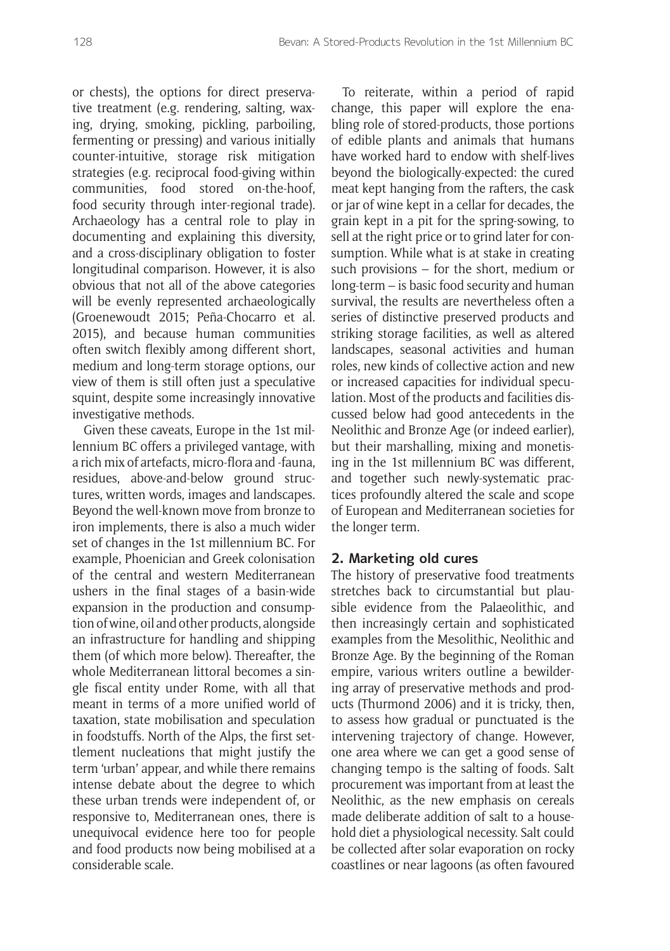or chests), the options for direct preservative treatment (e.g. rendering, salting, waxing, drying, smoking, pickling, parboiling, fermenting or pressing) and various initially counter-intuitive, storage risk mitigation strategies (e.g. reciprocal food-giving within communities, food stored on-the-hoof, food security through inter-regional trade). Archaeology has a central role to play in documenting and explaining this diversity, and a cross-disciplinary obligation to foster longitudinal comparison. However, it is also obvious that not all of the above categories will be evenly represented archaeologically (Groenewoudt 2015; Peña-Chocarro et al. 2015), and because human communities often switch flexibly among different short, medium and long-term storage options, our view of them is still often just a speculative squint, despite some increasingly innovative investigative methods.

Given these caveats, Europe in the 1st millennium BC offers a privileged vantage, with a rich mix of artefacts, micro-flora and -fauna, residues, above-and-below ground structures, written words, images and landscapes. Beyond the well-known move from bronze to iron implements, there is also a much wider set of changes in the 1st millennium BC. For example, Phoenician and Greek colonisation of the central and western Mediterranean ushers in the final stages of a basin-wide expansion in the production and consumption of wine, oil and other products, alongside an infrastructure for handling and shipping them (of which more below). Thereafter, the whole Mediterranean littoral becomes a single fiscal entity under Rome, with all that meant in terms of a more unified world of taxation, state mobilisation and speculation in foodstuffs. North of the Alps, the first settlement nucleations that might justify the term 'urban' appear, and while there remains intense debate about the degree to which these urban trends were independent of, or responsive to, Mediterranean ones, there is unequivocal evidence here too for people and food products now being mobilised at a considerable scale.

To reiterate, within a period of rapid change, this paper will explore the enabling role of stored-products, those portions of edible plants and animals that humans have worked hard to endow with shelf-lives beyond the biologically-expected: the cured meat kept hanging from the rafters, the cask or jar of wine kept in a cellar for decades, the grain kept in a pit for the spring-sowing, to sell at the right price or to grind later for consumption. While what is at stake in creating such provisions – for the short, medium or long-term – is basic food security and human survival, the results are nevertheless often a series of distinctive preserved products and striking storage facilities, as well as altered landscapes, seasonal activities and human roles, new kinds of collective action and new or increased capacities for individual speculation. Most of the products and facilities discussed below had good antecedents in the Neolithic and Bronze Age (or indeed earlier), but their marshalling, mixing and monetising in the 1st millennium BC was different, and together such newly-systematic practices profoundly altered the scale and scope of European and Mediterranean societies for the longer term.

#### **2. Marketing old cures**

The history of preservative food treatments stretches back to circumstantial but plausible evidence from the Palaeolithic, and then increasingly certain and sophisticated examples from the Mesolithic, Neolithic and Bronze Age. By the beginning of the Roman empire, various writers outline a bewildering array of preservative methods and products (Thurmond 2006) and it is tricky, then, to assess how gradual or punctuated is the intervening trajectory of change. However, one area where we can get a good sense of changing tempo is the salting of foods. Salt procurement was important from at least the Neolithic, as the new emphasis on cereals made deliberate addition of salt to a household diet a physiological necessity. Salt could be collected after solar evaporation on rocky coastlines or near lagoons (as often favoured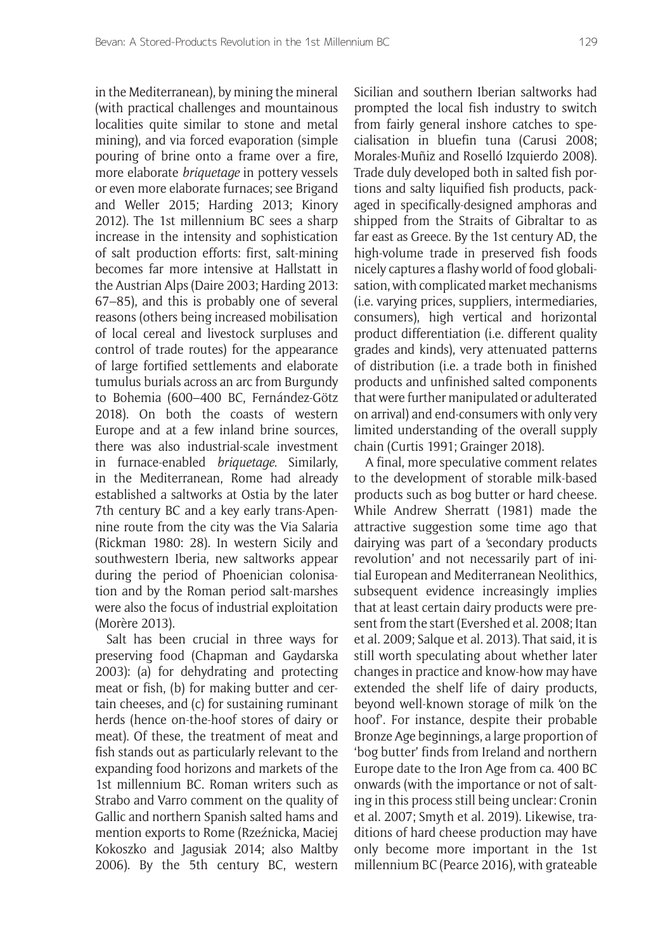in the Mediterranean), by mining the mineral (with practical challenges and mountainous localities quite similar to stone and metal mining), and via forced evaporation (simple pouring of brine onto a frame over a fire, more elaborate *briquetage* in pottery vessels or even more elaborate furnaces; see Brigand and Weller 2015; Harding 2013; Kinory 2012). The 1st millennium BC sees a sharp increase in the intensity and sophistication of salt production efforts: first, salt-mining becomes far more intensive at Hallstatt in the Austrian Alps (Daire 2003; Harding 2013: 67–85), and this is probably one of several reasons (others being increased mobilisation of local cereal and livestock surpluses and control of trade routes) for the appearance of large fortified settlements and elaborate tumulus burials across an arc from Burgundy to Bohemia (600–400 BC, Fernández-Götz 2018). On both the coasts of western Europe and at a few inland brine sources, there was also industrial-scale investment in furnace-enabled *briquetage*. Similarly, in the Mediterranean, Rome had already established a saltworks at Ostia by the later 7th century BC and a key early trans-Apennine route from the city was the Via Salaria (Rickman 1980: 28). In western Sicily and southwestern Iberia, new saltworks appear during the period of Phoenician colonisation and by the Roman period salt-marshes were also the focus of industrial exploitation (Morère 2013).

Salt has been crucial in three ways for preserving food (Chapman and Gaydarska 2003): (a) for dehydrating and protecting meat or fish, (b) for making butter and certain cheeses, and (c) for sustaining ruminant herds (hence on-the-hoof stores of dairy or meat). Of these, the treatment of meat and fish stands out as particularly relevant to the expanding food horizons and markets of the 1st millennium BC. Roman writers such as Strabo and Varro comment on the quality of Gallic and northern Spanish salted hams and mention exports to Rome (Rzeźnicka, Maciej Kokoszko and Jagusiak 2014; also Maltby 2006). By the 5th century BC, western Sicilian and southern Iberian saltworks had prompted the local fish industry to switch from fairly general inshore catches to specialisation in bluefin tuna (Carusi 2008; Morales-Muñiz and Roselló Izquierdo 2008). Trade duly developed both in salted fish portions and salty liquified fish products, packaged in specifically-designed amphoras and shipped from the Straits of Gibraltar to as far east as Greece. By the 1st century AD, the high-volume trade in preserved fish foods nicely captures a flashy world of food globalisation, with complicated market mechanisms (i.e. varying prices, suppliers, intermediaries, consumers), high vertical and horizontal product differentiation (i.e. different quality grades and kinds), very attenuated patterns of distribution (i.e. a trade both in finished products and unfinished salted components that were further manipulated or adulterated on arrival) and end-consumers with only very limited understanding of the overall supply chain (Curtis 1991; Grainger 2018).

A final, more speculative comment relates to the development of storable milk-based products such as bog butter or hard cheese. While Andrew Sherratt (1981) made the attractive suggestion some time ago that dairying was part of a 'secondary products revolution' and not necessarily part of initial European and Mediterranean Neolithics, subsequent evidence increasingly implies that at least certain dairy products were present from the start (Evershed et al. 2008; Itan et al. 2009; Salque et al. 2013). That said, it is still worth speculating about whether later changes in practice and know-how may have extended the shelf life of dairy products, beyond well-known storage of milk 'on the hoof'. For instance, despite their probable Bronze Age beginnings, a large proportion of 'bog butter' finds from Ireland and northern Europe date to the Iron Age from ca. 400 BC onwards (with the importance or not of salting in this process still being unclear: Cronin et al. 2007; Smyth et al. 2019). Likewise, traditions of hard cheese production may have only become more important in the 1st millennium BC (Pearce 2016), with grateable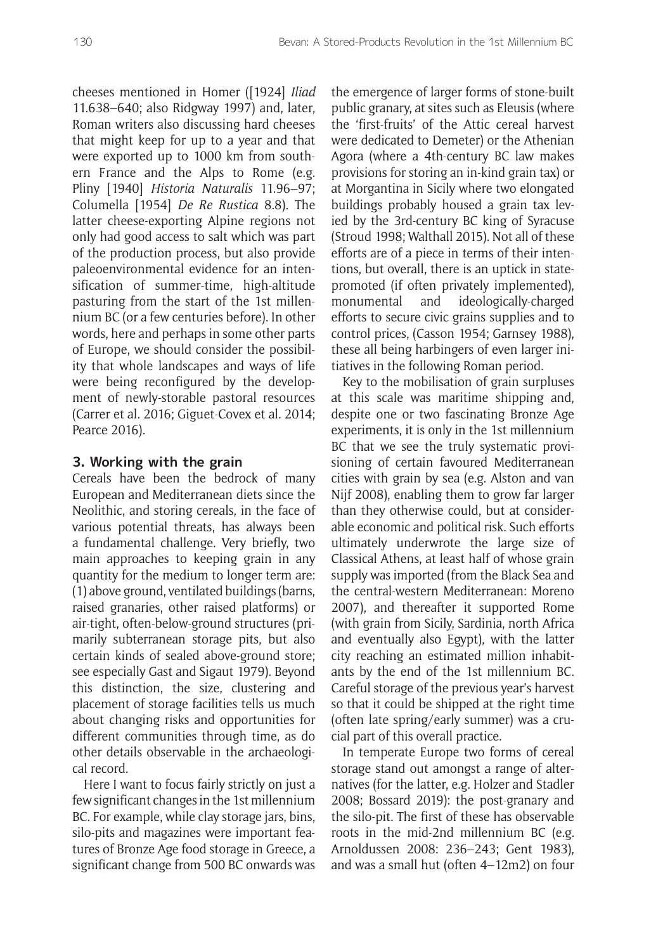cheeses mentioned in Homer ([1924] *Iliad* 11.638–640; also Ridgway 1997) and, later, Roman writers also discussing hard cheeses that might keep for up to a year and that were exported up to 1000 km from southern France and the Alps to Rome (e.g. Pliny [1940] *Historia Naturalis* 11.96–97; Columella [1954] *De Re Rustica* 8.8). The latter cheese-exporting Alpine regions not only had good access to salt which was part of the production process, but also provide paleoenvironmental evidence for an intensification of summer-time, high-altitude pasturing from the start of the 1st millennium BC (or a few centuries before). In other words, here and perhaps in some other parts of Europe, we should consider the possibility that whole landscapes and ways of life were being reconfigured by the development of newly-storable pastoral resources (Carrer et al. 2016; Giguet-Covex et al. 2014; Pearce 2016).

#### **3. Working with the grain**

Cereals have been the bedrock of many European and Mediterranean diets since the Neolithic, and storing cereals, in the face of various potential threats, has always been a fundamental challenge. Very briefly, two main approaches to keeping grain in any quantity for the medium to longer term are: (1) above ground, ventilated buildings (barns, raised granaries, other raised platforms) or air-tight, often-below-ground structures (primarily subterranean storage pits, but also certain kinds of sealed above-ground store; see especially Gast and Sigaut 1979). Beyond this distinction, the size, clustering and placement of storage facilities tells us much about changing risks and opportunities for different communities through time, as do other details observable in the archaeological record.

Here I want to focus fairly strictly on just a few significant changes in the 1st millennium BC. For example, while clay storage jars, bins, silo-pits and magazines were important features of Bronze Age food storage in Greece, a significant change from 500 BC onwards was the emergence of larger forms of stone-built public granary, at sites such as Eleusis (where the 'first-fruits' of the Attic cereal harvest were dedicated to Demeter) or the Athenian Agora (where a 4th-century BC law makes provisions for storing an in-kind grain tax) or at Morgantina in Sicily where two elongated buildings probably housed a grain tax levied by the 3rd-century BC king of Syracuse (Stroud 1998; Walthall 2015). Not all of these efforts are of a piece in terms of their intentions, but overall, there is an uptick in statepromoted (if often privately implemented),<br>monumental and ideologically-charged monumental and ideologically-charged efforts to secure civic grains supplies and to control prices, (Casson 1954; Garnsey 1988), these all being harbingers of even larger initiatives in the following Roman period.

Key to the mobilisation of grain surpluses at this scale was maritime shipping and, despite one or two fascinating Bronze Age experiments, it is only in the 1st millennium BC that we see the truly systematic provisioning of certain favoured Mediterranean cities with grain by sea (e.g. Alston and van Nijf 2008), enabling them to grow far larger than they otherwise could, but at considerable economic and political risk. Such efforts ultimately underwrote the large size of Classical Athens, at least half of whose grain supply was imported (from the Black Sea and the central-western Mediterranean: Moreno 2007), and thereafter it supported Rome (with grain from Sicily, Sardinia, north Africa and eventually also Egypt), with the latter city reaching an estimated million inhabitants by the end of the 1st millennium BC. Careful storage of the previous year's harvest so that it could be shipped at the right time (often late spring/early summer) was a crucial part of this overall practice.

In temperate Europe two forms of cereal storage stand out amongst a range of alternatives (for the latter, e.g. Holzer and Stadler 2008; Bossard 2019): the post-granary and the silo-pit. The first of these has observable roots in the mid-2nd millennium BC (e.g. Arnoldussen 2008: 236–243; Gent 1983), and was a small hut (often 4–12m2) on four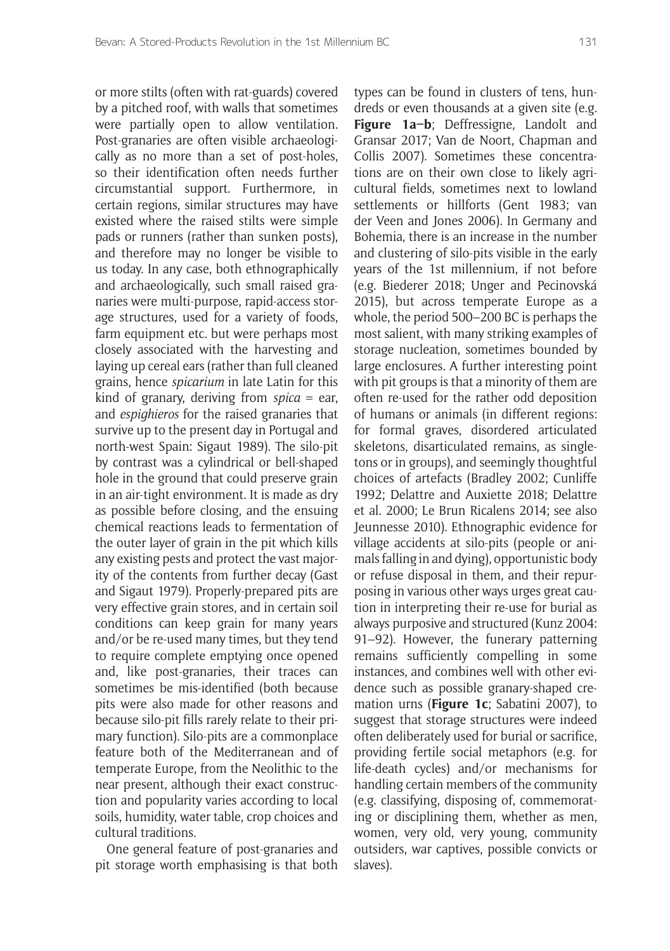or more stilts (often with rat-guards) covered by a pitched roof, with walls that sometimes were partially open to allow ventilation. Post-granaries are often visible archaeologically as no more than a set of post-holes, so their identification often needs further circumstantial support. Furthermore, in certain regions, similar structures may have existed where the raised stilts were simple pads or runners (rather than sunken posts), and therefore may no longer be visible to us today. In any case, both ethnographically and archaeologically, such small raised granaries were multi-purpose, rapid-access storage structures, used for a variety of foods, farm equipment etc. but were perhaps most closely associated with the harvesting and laying up cereal ears (rather than full cleaned grains, hence *spicarium* in late Latin for this kind of granary, deriving from *spica* = ear, and *espighieros* for the raised granaries that survive up to the present day in Portugal and north-west Spain: Sigaut 1989). The silo-pit by contrast was a cylindrical or bell-shaped hole in the ground that could preserve grain in an air-tight environment. It is made as dry as possible before closing, and the ensuing chemical reactions leads to fermentation of the outer layer of grain in the pit which kills any existing pests and protect the vast majority of the contents from further decay (Gast and Sigaut 1979). Properly-prepared pits are very effective grain stores, and in certain soil conditions can keep grain for many years and/or be re-used many times, but they tend to require complete emptying once opened and, like post-granaries, their traces can sometimes be mis-identified (both because pits were also made for other reasons and because silo-pit fills rarely relate to their primary function). Silo-pits are a commonplace feature both of the Mediterranean and of temperate Europe, from the Neolithic to the near present, although their exact construction and popularity varies according to local soils, humidity, water table, crop choices and cultural traditions.

One general feature of post-granaries and pit storage worth emphasising is that both types can be found in clusters of tens, hundreds or even thousands at a given site (e.g. **Figure 1a–b**; Deffressigne, Landolt and Gransar 2017; Van de Noort, Chapman and Collis 2007). Sometimes these concentrations are on their own close to likely agricultural fields, sometimes next to lowland settlements or hillforts (Gent 1983; van der Veen and Jones 2006). In Germany and Bohemia, there is an increase in the number and clustering of silo-pits visible in the early years of the 1st millennium, if not before (e.g. Biederer 2018; Unger and Pecinovská 2015), but across temperate Europe as a whole, the period 500–200 BC is perhaps the most salient, with many striking examples of storage nucleation, sometimes bounded by large enclosures. A further interesting point with pit groups is that a minority of them are often re-used for the rather odd deposition of humans or animals (in different regions: for formal graves, disordered articulated skeletons, disarticulated remains, as singletons or in groups), and seemingly thoughtful choices of artefacts (Bradley 2002; Cunliffe 1992; Delattre and Auxiette 2018; Delattre et al. 2000; Le Brun Ricalens 2014; see also Jeunnesse 2010). Ethnographic evidence for village accidents at silo-pits (people or animals falling in and dying), opportunistic body or refuse disposal in them, and their repurposing in various other ways urges great caution in interpreting their re-use for burial as always purposive and structured (Kunz 2004: 91–92). However, the funerary patterning remains sufficiently compelling in some instances, and combines well with other evidence such as possible granary-shaped cremation urns (**Figure 1c**; Sabatini 2007), to suggest that storage structures were indeed often deliberately used for burial or sacrifice, providing fertile social metaphors (e.g. for life-death cycles) and/or mechanisms for handling certain members of the community (e.g. classifying, disposing of, commemorating or disciplining them, whether as men, women, very old, very young, community outsiders, war captives, possible convicts or slaves).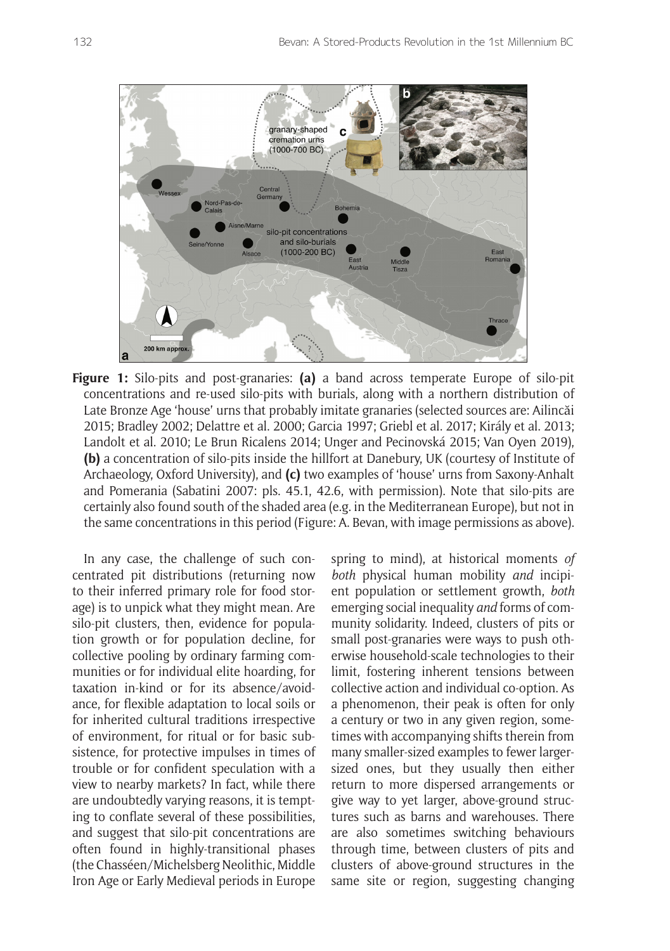

**Figure 1:** Silo-pits and post-granaries: **(a)** a band across temperate Europe of silo-pit concentrations and re-used silo-pits with burials, along with a northern distribution of Late Bronze Age 'house' urns that probably imitate granaries (selected sources are: Ailincăi 2015; Bradley 2002; Delattre et al. 2000; Garcia 1997; Griebl et al. 2017; Király et al. 2013; Landolt et al. 2010; Le Brun Ricalens 2014; Unger and Pecinovská 2015; Van Oyen 2019), **(b)** a concentration of silo-pits inside the hillfort at Danebury, UK (courtesy of Institute of Archaeology, Oxford University), and **(c)** two examples of 'house' urns from Saxony-Anhalt and Pomerania (Sabatini 2007: pls. 45.1, 42.6, with permission). Note that silo-pits are certainly also found south of the shaded area (e.g. in the Mediterranean Europe), but not in the same concentrations in this period (Figure: A. Bevan, with image permissions as above).

In any case, the challenge of such concentrated pit distributions (returning now to their inferred primary role for food storage) is to unpick what they might mean. Are silo-pit clusters, then, evidence for population growth or for population decline, for collective pooling by ordinary farming communities or for individual elite hoarding, for taxation in-kind or for its absence/avoidance, for flexible adaptation to local soils or for inherited cultural traditions irrespective of environment, for ritual or for basic subsistence, for protective impulses in times of trouble or for confident speculation with a view to nearby markets? In fact, while there are undoubtedly varying reasons, it is tempting to conflate several of these possibilities, and suggest that silo-pit concentrations are often found in highly-transitional phases (the Chasséen/Michelsberg Neolithic, Middle Iron Age or Early Medieval periods in Europe spring to mind), at historical moments *of both* physical human mobility *and* incipient population or settlement growth, *both* emerging social inequality *and* forms of community solidarity. Indeed, clusters of pits or small post-granaries were ways to push otherwise household-scale technologies to their limit, fostering inherent tensions between collective action and individual co-option. As a phenomenon, their peak is often for only a century or two in any given region, sometimes with accompanying shifts therein from many smaller-sized examples to fewer largersized ones, but they usually then either return to more dispersed arrangements or give way to yet larger, above-ground structures such as barns and warehouses. There are also sometimes switching behaviours through time, between clusters of pits and clusters of above-ground structures in the same site or region, suggesting changing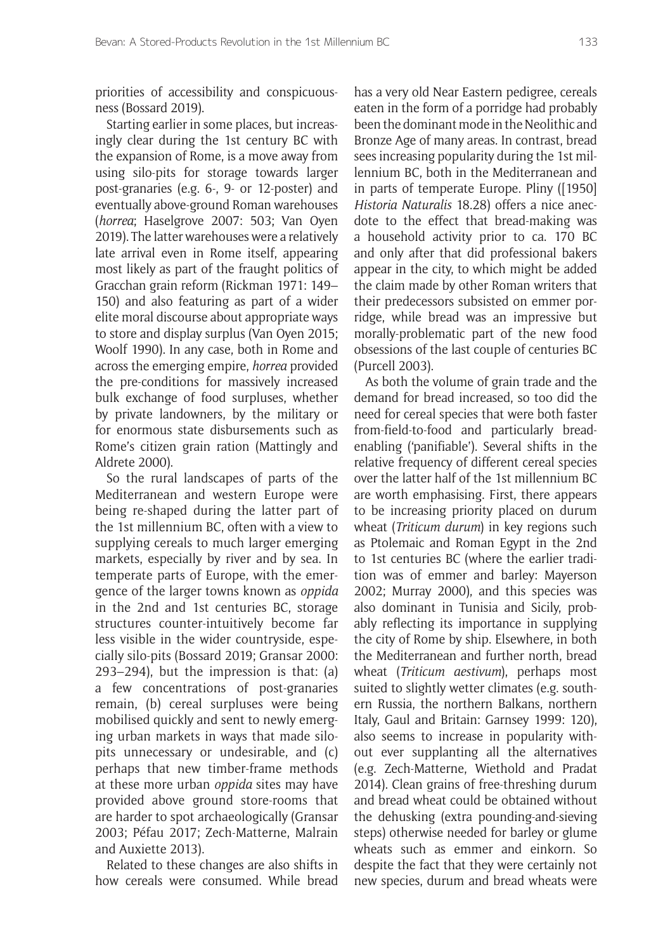priorities of accessibility and conspicuousness (Bossard 2019).

Starting earlier in some places, but increasingly clear during the 1st century BC with the expansion of Rome, is a move away from using silo-pits for storage towards larger post-granaries (e.g. 6-, 9- or 12-poster) and eventually above-ground Roman warehouses (*horrea*; Haselgrove 2007: 503; Van Oyen 2019). The latter warehouses were a relatively late arrival even in Rome itself, appearing most likely as part of the fraught politics of Gracchan grain reform (Rickman 1971: 149– 150) and also featuring as part of a wider elite moral discourse about appropriate ways to store and display surplus (Van Oyen 2015; Woolf 1990). In any case, both in Rome and across the emerging empire, *horrea* provided the pre-conditions for massively increased bulk exchange of food surpluses, whether by private landowners, by the military or for enormous state disbursements such as Rome's citizen grain ration (Mattingly and Aldrete 2000).

So the rural landscapes of parts of the Mediterranean and western Europe were being re-shaped during the latter part of the 1st millennium BC, often with a view to supplying cereals to much larger emerging markets, especially by river and by sea. In temperate parts of Europe, with the emergence of the larger towns known as *oppida* in the 2nd and 1st centuries BC, storage structures counter-intuitively become far less visible in the wider countryside, especially silo-pits (Bossard 2019; Gransar 2000: 293–294), but the impression is that: (a) a few concentrations of post-granaries remain, (b) cereal surpluses were being mobilised quickly and sent to newly emerging urban markets in ways that made silopits unnecessary or undesirable, and (c) perhaps that new timber-frame methods at these more urban *oppida* sites may have provided above ground store-rooms that are harder to spot archaeologically (Gransar 2003; Péfau 2017; Zech-Matterne, Malrain and Auxiette 2013).

Related to these changes are also shifts in how cereals were consumed. While bread has a very old Near Eastern pedigree, cereals eaten in the form of a porridge had probably been the dominant mode in the Neolithic and Bronze Age of many areas. In contrast, bread sees increasing popularity during the 1st millennium BC, both in the Mediterranean and in parts of temperate Europe. Pliny ([1950] *Historia Naturalis* 18.28) offers a nice anecdote to the effect that bread-making was a household activity prior to ca. 170 BC and only after that did professional bakers appear in the city, to which might be added the claim made by other Roman writers that their predecessors subsisted on emmer porridge, while bread was an impressive but morally-problematic part of the new food obsessions of the last couple of centuries BC (Purcell 2003).

As both the volume of grain trade and the demand for bread increased, so too did the need for cereal species that were both faster from-field-to-food and particularly breadenabling ('panifiable'). Several shifts in the relative frequency of different cereal species over the latter half of the 1st millennium BC are worth emphasising. First, there appears to be increasing priority placed on durum wheat (*Triticum durum*) in key regions such as Ptolemaic and Roman Egypt in the 2nd to 1st centuries BC (where the earlier tradition was of emmer and barley: Mayerson 2002; Murray 2000), and this species was also dominant in Tunisia and Sicily, probably reflecting its importance in supplying the city of Rome by ship. Elsewhere, in both the Mediterranean and further north, bread wheat (*Triticum aestivum*), perhaps most suited to slightly wetter climates (e.g. southern Russia, the northern Balkans, northern Italy, Gaul and Britain: Garnsey 1999: 120), also seems to increase in popularity without ever supplanting all the alternatives (e.g. Zech-Matterne, Wiethold and Pradat 2014). Clean grains of free-threshing durum and bread wheat could be obtained without the dehusking (extra pounding-and-sieving steps) otherwise needed for barley or glume wheats such as emmer and einkorn. So despite the fact that they were certainly not new species, durum and bread wheats were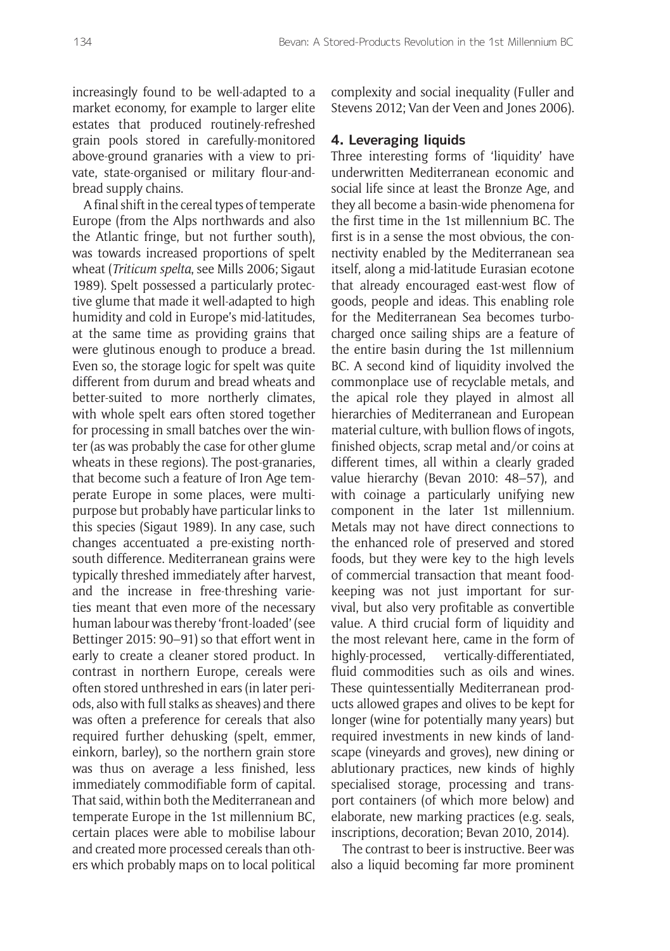increasingly found to be well-adapted to a market economy, for example to larger elite estates that produced routinely-refreshed grain pools stored in carefully-monitored above-ground granaries with a view to private, state-organised or military flour-andbread supply chains.

A final shift in the cereal types of temperate Europe (from the Alps northwards and also the Atlantic fringe, but not further south), was towards increased proportions of spelt wheat (*Triticum spelta*, see Mills 2006; Sigaut 1989). Spelt possessed a particularly protective glume that made it well-adapted to high humidity and cold in Europe's mid-latitudes, at the same time as providing grains that were glutinous enough to produce a bread. Even so, the storage logic for spelt was quite different from durum and bread wheats and better-suited to more northerly climates, with whole spelt ears often stored together for processing in small batches over the winter (as was probably the case for other glume wheats in these regions). The post-granaries, that become such a feature of Iron Age temperate Europe in some places, were multipurpose but probably have particular links to this species (Sigaut 1989). In any case, such changes accentuated a pre-existing northsouth difference. Mediterranean grains were typically threshed immediately after harvest, and the increase in free-threshing varieties meant that even more of the necessary human labour was thereby 'front-loaded' (see Bettinger 2015: 90–91) so that effort went in early to create a cleaner stored product. In contrast in northern Europe, cereals were often stored unthreshed in ears (in later periods, also with full stalks as sheaves) and there was often a preference for cereals that also required further dehusking (spelt, emmer, einkorn, barley), so the northern grain store was thus on average a less finished, less immediately commodifiable form of capital. That said, within both the Mediterranean and temperate Europe in the 1st millennium BC, certain places were able to mobilise labour and created more processed cereals than others which probably maps on to local political complexity and social inequality (Fuller and Stevens 2012; Van der Veen and Jones 2006).

#### **4. Leveraging liquids**

Three interesting forms of 'liquidity' have underwritten Mediterranean economic and social life since at least the Bronze Age, and they all become a basin-wide phenomena for the first time in the 1st millennium BC. The first is in a sense the most obvious, the connectivity enabled by the Mediterranean sea itself, along a mid-latitude Eurasian ecotone that already encouraged east-west flow of goods, people and ideas. This enabling role for the Mediterranean Sea becomes turbocharged once sailing ships are a feature of the entire basin during the 1st millennium BC. A second kind of liquidity involved the commonplace use of recyclable metals, and the apical role they played in almost all hierarchies of Mediterranean and European material culture, with bullion flows of ingots, finished objects, scrap metal and/or coins at different times, all within a clearly graded value hierarchy (Bevan 2010: 48–57), and with coinage a particularly unifying new component in the later 1st millennium. Metals may not have direct connections to the enhanced role of preserved and stored foods, but they were key to the high levels of commercial transaction that meant foodkeeping was not just important for survival, but also very profitable as convertible value. A third crucial form of liquidity and the most relevant here, came in the form of highly-processed, vertically-differentiated, fluid commodities such as oils and wines. These quintessentially Mediterranean products allowed grapes and olives to be kept for longer (wine for potentially many years) but required investments in new kinds of landscape (vineyards and groves), new dining or ablutionary practices, new kinds of highly specialised storage, processing and transport containers (of which more below) and elaborate, new marking practices (e.g. seals, inscriptions, decoration; Bevan 2010, 2014).

The contrast to beer is instructive. Beer was also a liquid becoming far more prominent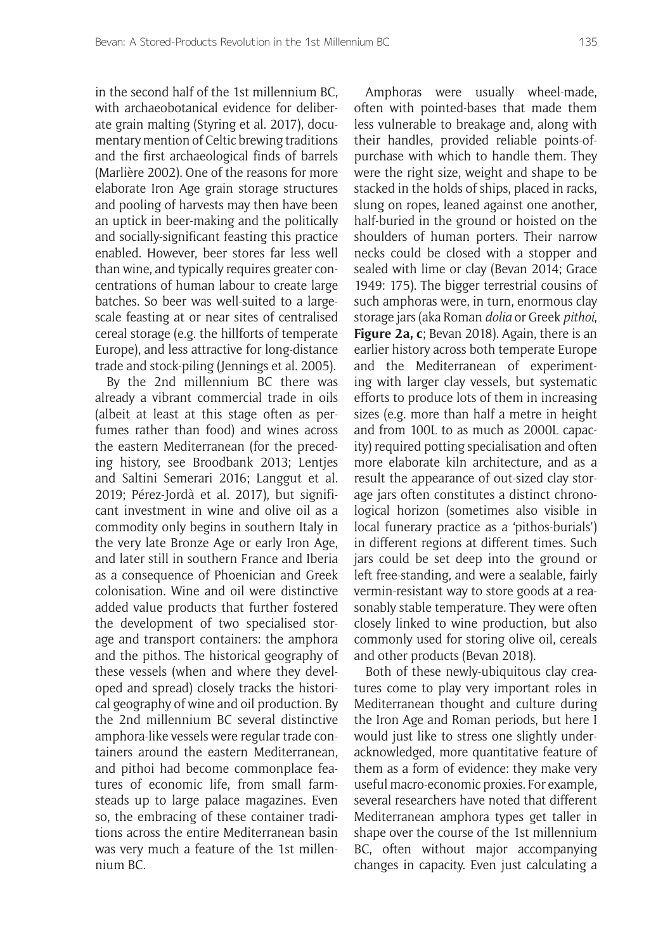in the second half of the 1st millennium BC, with archaeobotanical evidence for deliberate grain malting (Styring et al. 2017), documentary mention of Celtic brewing traditions and the first archaeological finds of barrels (Marlière 2002). One of the reasons for more elaborate Iron Age grain storage structures and pooling of harvests may then have been an uptick in beer-making and the politically and socially-significant feasting this practice enabled. However, beer stores far less well than wine, and typically requires greater concentrations of human labour to create large batches. So beer was well-suited to a largescale feasting at or near sites of centralised cereal storage (e.g. the hillforts of temperate Europe), and less attractive for long-distance trade and stock-piling (Jennings et al. 2005).

By the 2nd millennium BC there was already a vibrant commercial trade in oils (albeit at least at this stage often as perfumes rather than food) and wines across the eastern Mediterranean (for the preceding history, see Broodbank 2013; Lentjes and Saltini Semerari 2016; Langgut et al. 2019; Pérez-Jordà et al. 2017), but significant investment in wine and olive oil as a commodity only begins in southern Italy in the very late Bronze Age or early Iron Age, and later still in southern France and Iberia as a consequence of Phoenician and Greek colonisation. Wine and oil were distinctive added value products that further fostered the development of two specialised storage and transport containers: the amphora and the pithos. The historical geography of these vessels (when and where they developed and spread) closely tracks the historical geography of wine and oil production. By the 2nd millennium BC several distinctive amphora-like vessels were regular trade containers around the eastern Mediterranean, and pithoi had become commonplace features of economic life, from small farmsteads up to large palace magazines. Even so, the embracing of these container traditions across the entire Mediterranean basin was very much a feature of the 1st millennium BC.

Amphoras were usually wheel-made, often with pointed-bases that made them less vulnerable to breakage and, along with their handles, provided reliable points-ofpurchase with which to handle them. They were the right size, weight and shape to be stacked in the holds of ships, placed in racks, slung on ropes, leaned against one another, half-buried in the ground or hoisted on the shoulders of human porters. Their narrow necks could be closed with a stopper and sealed with lime or clay (Bevan 2014; Grace 1949: 175). The bigger terrestrial cousins of such amphoras were, in turn, enormous clay storage jars (aka Roman *dolia* or Greek *pithoi*, **Figure 2a, c**; Bevan 2018). Again, there is an earlier history across both temperate Europe and the Mediterranean of experimenting with larger clay vessels, but systematic efforts to produce lots of them in increasing sizes (e.g. more than half a metre in height and from 100L to as much as 2000L capacity) required potting specialisation and often more elaborate kiln architecture, and as a result the appearance of out-sized clay storage jars often constitutes a distinct chronological horizon (sometimes also visible in local funerary practice as a 'pithos-burials') in different regions at different times. Such jars could be set deep into the ground or left free-standing, and were a sealable, fairly vermin-resistant way to store goods at a reasonably stable temperature. They were often closely linked to wine production, but also commonly used for storing olive oil, cereals and other products (Bevan 2018).

Both of these newly-ubiquitous clay creatures come to play very important roles in Mediterranean thought and culture during the Iron Age and Roman periods, but here I would just like to stress one slightly underacknowledged, more quantitative feature of them as a form of evidence: they make very useful macro-economic proxies. For example, several researchers have noted that different Mediterranean amphora types get taller in shape over the course of the 1st millennium BC, often without major accompanying changes in capacity. Even just calculating a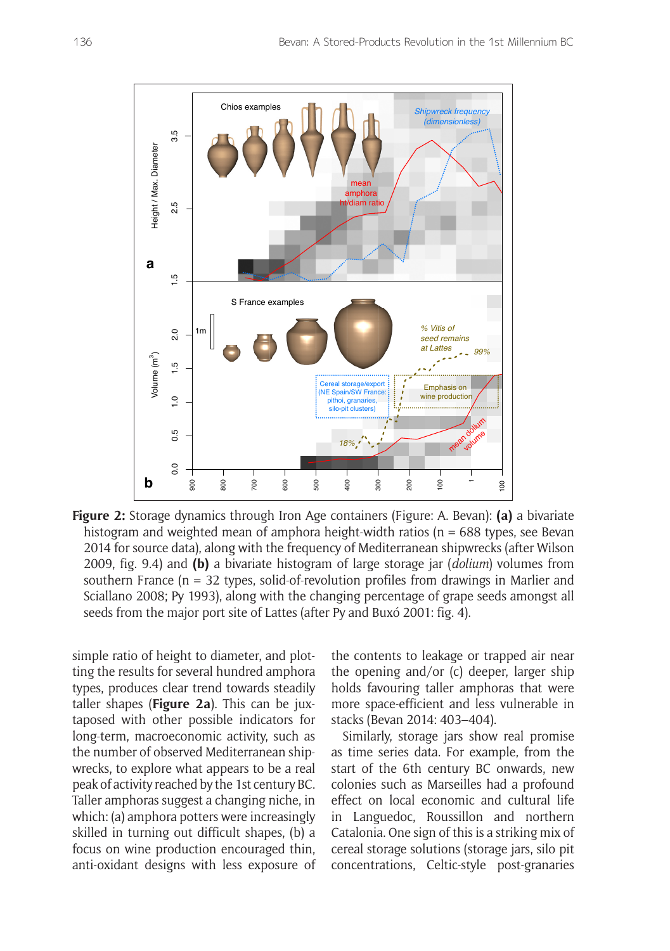

**Figure 2:** Storage dynamics through Iron Age containers (Figure: A. Bevan): **(a)** a bivariate histogram and weighted mean of amphora height-width ratios ( $n = 688$  types, see Bevan 2014 for source data), along with the frequency of Mediterranean shipwrecks (after Wilson 2009, fig. 9.4) and **(b)** a bivariate histogram of large storage jar (*dolium*) volumes from southern France ( $n = 32$  types, solid-of-revolution profiles from drawings in Marlier and Sciallano 2008; Py 1993), along with the changing percentage of grape seeds amongst all seeds from the major port site of Lattes (after Py and Buxó 2001: fig. 4).

simple ratio of height to diameter, and plotting the results for several hundred amphora types, produces clear trend towards steadily taller shapes (**Figure 2a**). This can be juxtaposed with other possible indicators for long-term, macroeconomic activity, such as the number of observed Mediterranean shipwrecks, to explore what appears to be a real peak of activity reached by the 1st century BC. Taller amphoras suggest a changing niche, in which: (a) amphora potters were increasingly skilled in turning out difficult shapes, (b) a focus on wine production encouraged thin, anti-oxidant designs with less exposure of the contents to leakage or trapped air near the opening and/or (c) deeper, larger ship holds favouring taller amphoras that were more space-efficient and less vulnerable in stacks (Bevan 2014: 403–404).

Similarly, storage jars show real promise as time series data. For example, from the start of the 6th century BC onwards, new colonies such as Marseilles had a profound effect on local economic and cultural life in Languedoc, Roussillon and northern Catalonia. One sign of this is a striking mix of cereal storage solutions (storage jars, silo pit concentrations, Celtic-style post-granaries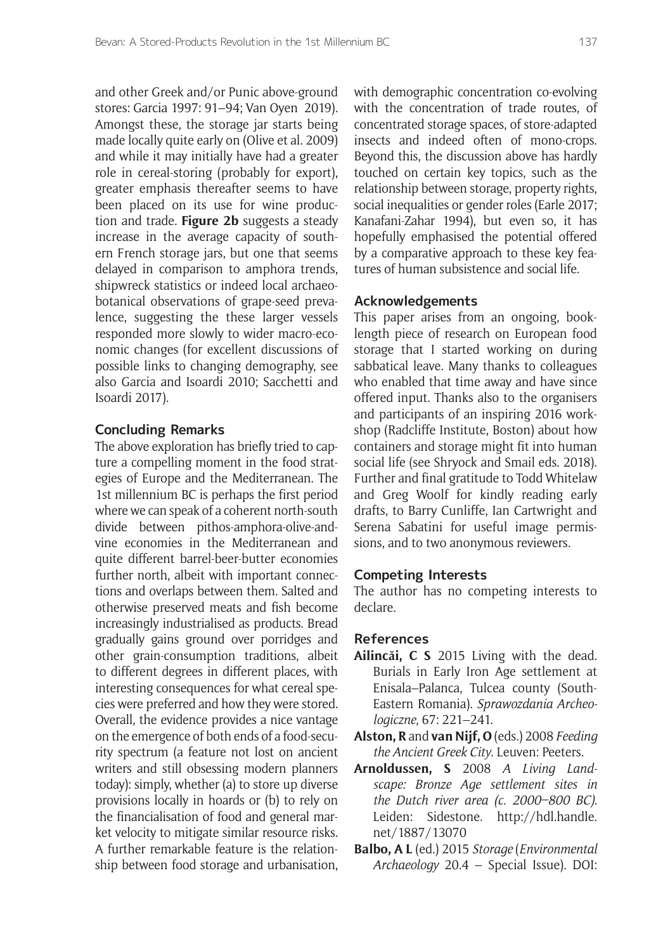and other Greek and/or Punic above-ground stores: Garcia 1997: 91–94; Van Oyen 2019). Amongst these, the storage jar starts being made locally quite early on (Olive et al. 2009) and while it may initially have had a greater role in cereal-storing (probably for export), greater emphasis thereafter seems to have been placed on its use for wine production and trade. **Figure 2b** suggests a steady increase in the average capacity of southern French storage jars, but one that seems delayed in comparison to amphora trends, shipwreck statistics or indeed local archaeobotanical observations of grape-seed prevalence, suggesting the these larger vessels responded more slowly to wider macro-economic changes (for excellent discussions of possible links to changing demography, see also Garcia and Isoardi 2010; Sacchetti and Isoardi 2017).

#### **Concluding Remarks**

The above exploration has briefly tried to capture a compelling moment in the food strategies of Europe and the Mediterranean. The 1st millennium BC is perhaps the first period where we can speak of a coherent north-south divide between pithos-amphora-olive-andvine economies in the Mediterranean and quite different barrel-beer-butter economies further north, albeit with important connections and overlaps between them. Salted and otherwise preserved meats and fish become increasingly industrialised as products. Bread gradually gains ground over porridges and other grain-consumption traditions, albeit to different degrees in different places, with interesting consequences for what cereal species were preferred and how they were stored. Overall, the evidence provides a nice vantage on the emergence of both ends of a food-security spectrum (a feature not lost on ancient writers and still obsessing modern planners today): simply, whether (a) to store up diverse provisions locally in hoards or (b) to rely on the financialisation of food and general market velocity to mitigate similar resource risks. A further remarkable feature is the relationship between food storage and urbanisation,

with demographic concentration co-evolving with the concentration of trade routes, of concentrated storage spaces, of store-adapted insects and indeed often of mono-crops. Beyond this, the discussion above has hardly touched on certain key topics, such as the relationship between storage, property rights, social inequalities or gender roles (Earle 2017; Kanafani-Zahar 1994), but even so, it has hopefully emphasised the potential offered by a comparative approach to these key features of human subsistence and social life.

#### **Acknowledgements**

This paper arises from an ongoing, booklength piece of research on European food storage that I started working on during sabbatical leave. Many thanks to colleagues who enabled that time away and have since offered input. Thanks also to the organisers and participants of an inspiring 2016 workshop (Radcliffe Institute, Boston) about how containers and storage might fit into human social life (see Shryock and Smail eds. 2018). Further and final gratitude to Todd Whitelaw and Greg Woolf for kindly reading early drafts, to Barry Cunliffe, Ian Cartwright and Serena Sabatini for useful image permissions, and to two anonymous reviewers.

#### **Competing Interests**

The author has no competing interests to declare.

#### **References**

- **Ailincăi, C S** 2015 Living with the dead. Burials in Early Iron Age settlement at Enisala–Palanca, Tulcea county (South-Eastern Romania). *Sprawozdania Archeologiczne*, 67: 221–241.
- **Alston, R** and **van Nijf, O** (eds.) 2008 *Feeding the Ancient Greek City*. Leuven: Peeters.
- **Arnoldussen, S** 2008 *A Living Landscape: Bronze Age settlement sites in the Dutch river area (c. 2000–800 BC).* Leiden: Sidestone. [http://hdl.handle.](http://hdl.handle.net/1887/13070) [net/1887/13070](http://hdl.handle.net/1887/13070)
- **Balbo, A L** (ed.) 2015 *Storage* (*Environmental Archaeology* 20.4 – Special Issue). DOI: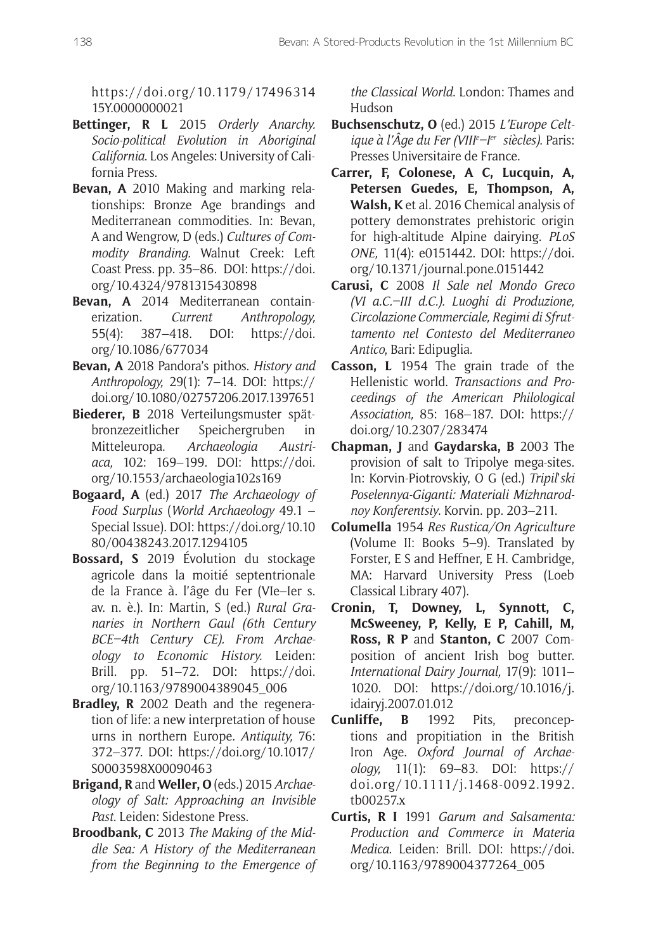[https://doi.org/10.1179/17496314](https://doi.org/10.1179/1749631415Y.0000000021) [15Y.0000000021](https://doi.org/10.1179/1749631415Y.0000000021)

- **Bettinger, R L** 2015 *Orderly Anarchy. Socio-political Evolution in Aboriginal California*. Los Angeles: University of California Press.
- **Bevan, A** 2010 Making and marking relationships: Bronze Age brandings and Mediterranean commodities. In: Bevan, A and Wengrow, D (eds.) *Cultures of Commodity Branding.* Walnut Creek: Left Coast Press. pp. 35–86. DOI: [https://doi.](https://doi.org/10.4324/9781315430898) [org/10.4324/9781315430898](https://doi.org/10.4324/9781315430898)
- **Bevan, A** 2014 Mediterranean containerization. *Current Anthropology,* 55(4): 387–418. DOI: [https://doi.](https://doi.org/10.1086/677034) [org/10.1086/677034](https://doi.org/10.1086/677034)
- **Bevan, A** 2018 Pandora's pithos. *History and Anthropology,* 29(1): 7–14. DOI: [https://](https://doi.org/10.1080/02757206.2017.1397651) [doi.org/10.1080/02757206.2017.1397651](https://doi.org/10.1080/02757206.2017.1397651)
- **Biederer, B** 2018 Verteilungsmuster spätbronzezeitlicher Speichergruben in Mitteleuropa. *Archaeologia Austriaca,* 102: 169–199. DOI: [https://doi.](https://doi.org/10.1553/archaeologia102s169) [org/10.1553/archaeologia102s169](https://doi.org/10.1553/archaeologia102s169)
- **Bogaard, A** (ed.) 2017 *The Archaeology of Food Surplus* (*World Archaeology* 49.1 – Special Issue). DOI: [https://doi.org/10.10](https://doi.org/10.1080/00438243.2017.1294105) [80/00438243.2017.1294105](https://doi.org/10.1080/00438243.2017.1294105)
- **Bossard, S** 2019 Évolution du stockage agricole dans la moitié septentrionale de la France à. l'âge du Fer (VIe–Ier s. av. n. è.). In: Martin, S (ed.) *Rural Granaries in Northern Gaul (6th Century BCE–4th Century CE). From Archaeology to Economic History.* Leiden: Brill. pp. 51–72. DOI: [https://doi.](https://doi.org/10.1163/9789004389045_006) [org/10.1163/9789004389045\\_006](https://doi.org/10.1163/9789004389045_006)
- **Bradley, R** 2002 Death and the regeneration of life: a new interpretation of house urns in northern Europe. *Antiquity,* 76: 372–377. DOI: [https://doi.org/10.1017/](https://doi.org/10.1017/S0003598X00090463) [S0003598X00090463](https://doi.org/10.1017/S0003598X00090463)
- **Brigand, R** and **Weller, O** (eds.) 2015 *Archaeology of Salt: Approaching an Invisible Past*. Leiden: Sidestone Press.
- **Broodbank, C** 2013 *The Making of the Middle Sea: A History of the Mediterranean from the Beginning to the Emergence of*

*the Classical World*. London: Thames and Hudson

- **Buchsenschutz, O** (ed.) 2015 *L'Europe Celtique à l'Âge du Fer (VIIIe –Ier siècles)*. Paris: Presses Universitaire de France.
- **Carrer, F, Colonese, A C, Lucquin, A, Petersen Guedes, E, Thompson, A, Walsh, K** et al. 2016 Chemical analysis of pottery demonstrates prehistoric origin for high-altitude Alpine dairying. *PLoS ONE,* 11(4): e0151442. DOI: [https://doi.](https://doi.org/10.1371/journal.pone.0151442) [org/10.1371/journal.pone.0151442](https://doi.org/10.1371/journal.pone.0151442)
- **Carusi, C** 2008 *Il Sale nel Mondo Greco (VI a.C.–III d.C.). Luoghi di Produzione, Circolazione Commerciale, Regimi di Sfruttamento nel Contesto del Mediterraneo Antico*, Bari: Edipuglia.
- **Casson, L** 1954 The grain trade of the Hellenistic world. *Transactions and Proceedings of the American Philological Association,* 85: 168–187. DOI: [https://](https://doi.org/10.2307/283474) [doi.org/10.2307/283474](https://doi.org/10.2307/283474)
- **Chapman, J** and **Gaydarska, B** 2003 The provision of salt to Tripolye mega-sites. In: Korvin-Piotrovskiy, O G (ed.) *Tripil*'*ski Poselennya-Giganti: Materiali Mizhnarodnoy Konferentsiy*. Korvin. pp. 203–211.
- **Columella** 1954 *Res Rustica/On Agriculture* (Volume II: Books 5–9). Translated by Forster, E S and Heffner, E H. Cambridge, MA: Harvard University Press (Loeb Classical Library 407).
- **Cronin, T, Downey, L, Synnott, C, McSweeney, P, Kelly, E P, Cahill, M, Ross, R P** and **Stanton, C** 2007 Composition of ancient Irish bog butter. *International Dairy Journal,* 17(9): 1011– 1020. DOI: [https://doi.org/10.1016/j.](https://doi.org/10.1016/j.idairyj.2007.01.012) [idairyj.2007.01.012](https://doi.org/10.1016/j.idairyj.2007.01.012)
- **Cunliffe, B** 1992 Pits, preconceptions and propitiation in the British Iron Age. *Oxford Journal of Archaeology,* 11(1): 69–83. DOI: [https://](https://doi.org/10.1111/j.1468-0092.1992.tb00257.x) [doi.org/10.1111/j.1468-0092.1992.](https://doi.org/10.1111/j.1468-0092.1992.tb00257.x) [tb00257.x](https://doi.org/10.1111/j.1468-0092.1992.tb00257.x)
- **Curtis, R I** 1991 *Garum and Salsamenta: Production and Commerce in Materia Medica*. Leiden: Brill. DOI: [https://doi.](https://doi.org/10.1163/9789004377264_005) [org/10.1163/9789004377264\\_005](https://doi.org/10.1163/9789004377264_005)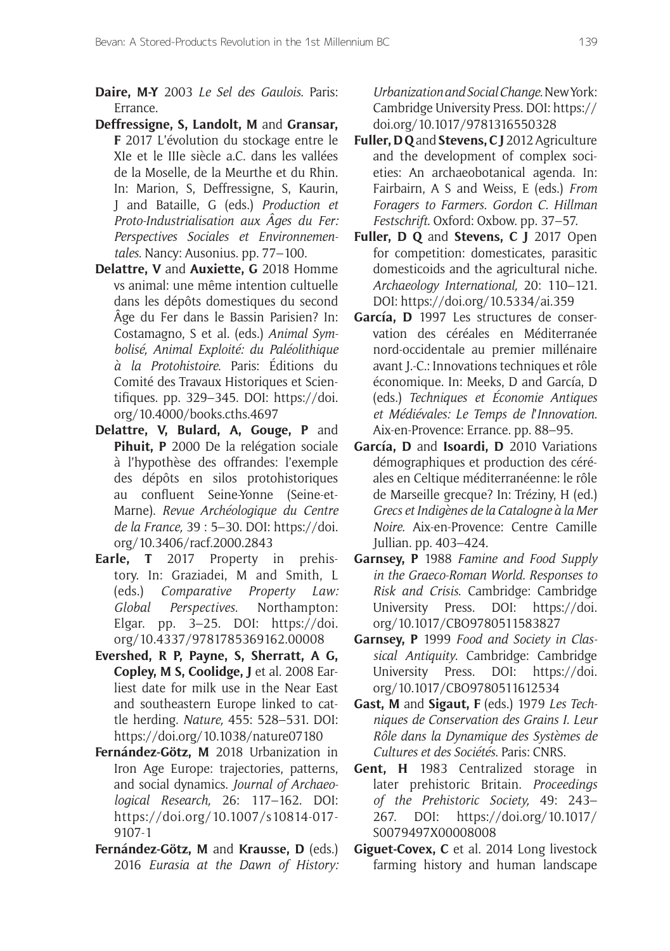**Daire, M-Y** 2003 *Le Sel des Gaulois*. Paris: Errance.

- **Deffressigne, S, Landolt, M** and **Gransar, F** 2017 L'évolution du stockage entre le XIe et le IIIe siècle a.C. dans les vallées de la Moselle, de la Meurthe et du Rhin. In: Marion, S, Deffressigne, S, Kaurin, J and Bataille, G (eds.) *Production et Proto-Industrialisation aux Âges du Fer: Perspectives Sociales et Environnementales*. Nancy: Ausonius. pp. 77–100.
- **Delattre, V** and **Auxiette, G** 2018 Homme vs animal: une même intention cultuelle dans les dépôts domestiques du second Âge du Fer dans le Bassin Parisien? In: Costamagno, S et al. (eds.) *Animal Symbolisé, Animal Exploité: du Paléolithique à la Protohistoire*. Paris: Éditions du Comité des Travaux Historiques et Scientifiques. pp. 329–345. DOI: [https://doi.](https://doi.org/10.4000/books.cths.4697) [org/10.4000/books.cths.4697](https://doi.org/10.4000/books.cths.4697)
- **Delattre, V, Bulard, A, Gouge, P** and **Pihuit, P** 2000 De la relégation sociale à l'hypothèse des offrandes: l'exemple des dépôts en silos protohistoriques au confluent Seine-Yonne (Seine-et-Marne). *Revue Archéologique du Centre de la France,* 39 : 5–30. DOI: [https://doi.](https://doi.org/10.3406/racf.2000.2843) [org/10.3406/racf.2000.2843](https://doi.org/10.3406/racf.2000.2843)
- **Earle, T** 2017 Property in prehistory. In: Graziadei, M and Smith, L (eds.) *Comparative Property Law: Global Perspectives*. Northampton: Elgar. pp. 3–25. DOI: [https://doi.](https://doi.org/10.4337/9781785369162.00008) [org/10.4337/9781785369162.00008](https://doi.org/10.4337/9781785369162.00008)
- **Evershed, R P, Payne, S, Sherratt, A G, Copley, M S, Coolidge, J** et al. 2008 Earliest date for milk use in the Near East and southeastern Europe linked to cattle herding. *Nature,* 455: 528–531. DOI: <https://doi.org/10.1038/nature07180>
- **Fernández-Götz, M** 2018 Urbanization in Iron Age Europe: trajectories, patterns, and social dynamics. *Journal of Archaeological Research,* 26: 117–162. DOI: [https://doi.org/10.1007/s10814-017-](https://doi.org/10.1007/s10814-017-9107-1) [9107-1](https://doi.org/10.1007/s10814-017-9107-1)
- **Fernández-Götz, M** and **Krausse, D** (eds.) 2016 *Eurasia at the Dawn of History:*

*Urbanization and Social Change*. New York: Cambridge University Press. DOI: [https://](https://doi.org/10.1017/9781316550328) [doi.org/10.1017/9781316550328](https://doi.org/10.1017/9781316550328)

- **Fuller, D Q** and **Stevens, C J** 2012 Agriculture and the development of complex societies: An archaeobotanical agenda. In: Fairbairn, A S and Weiss, E (eds.) *From Foragers to Farmers. Gordon C. Hillman Festschrift*. Oxford: Oxbow. pp. 37–57.
- **Fuller, D Q** and **Stevens, C J** 2017 Open for competition: domesticates, parasitic domesticoids and the agricultural niche. *Archaeology International,* 20: 110–121. DOI: <https://doi.org/10.5334/ai.359>
- **García, D** 1997 Les structures de conservation des céréales en Méditerranée nord-occidentale au premier millénaire avant J.-C.: Innovations techniques et rôle économique. In: Meeks, D and García, D (eds.) *Techniques et Économie Antiques et Médiévales: Le Temps de l*'*Innovation*. Aix-en-Provence: Errance. pp. 88–95.
- **García, D** and **Isoardi, D** 2010 Variations démographiques et production des céréales en Celtique méditerranéenne: le rôle de Marseille grecque? In: Tréziny, H (ed.) *Grecs et Indigènes de la Catalogne à la Mer Noire*. Aix-en-Provence: Centre Camille Jullian. pp. 403–424.
- **Garnsey, P** 1988 *Famine and Food Supply in the Graeco-Roman World. Responses to Risk and Crisis*. Cambridge: Cambridge University Press. DOI: [https://doi.](https://doi.org/10.1017/CBO9780511583827) [org/10.1017/CBO9780511583827](https://doi.org/10.1017/CBO9780511583827)
- **Garnsey, P** 1999 *Food and Society in Classical Antiquity*. Cambridge: Cambridge University Press. DOI: [https://doi.](https://doi.org/10.1017/CBO9780511612534) [org/10.1017/CBO9780511612534](https://doi.org/10.1017/CBO9780511612534)
- **Gast, M** and **Sigaut, F** (eds.) 1979 *Les Techniques de Conservation des Grains I. Leur Rôle dans la Dynamique des Systèmes de Cultures et des Sociétés*. Paris: CNRS.
- **Gent, H** 1983 Centralized storage in later prehistoric Britain. *Proceedings of the Prehistoric Society,* 49: 243– 267. DOI: [https://doi.org/10.1017/](https://doi.org/10.1017/S0079497X00008008) [S0079497X00008008](https://doi.org/10.1017/S0079497X00008008)
- **Giguet-Covex, C** et al. 2014 Long livestock farming history and human landscape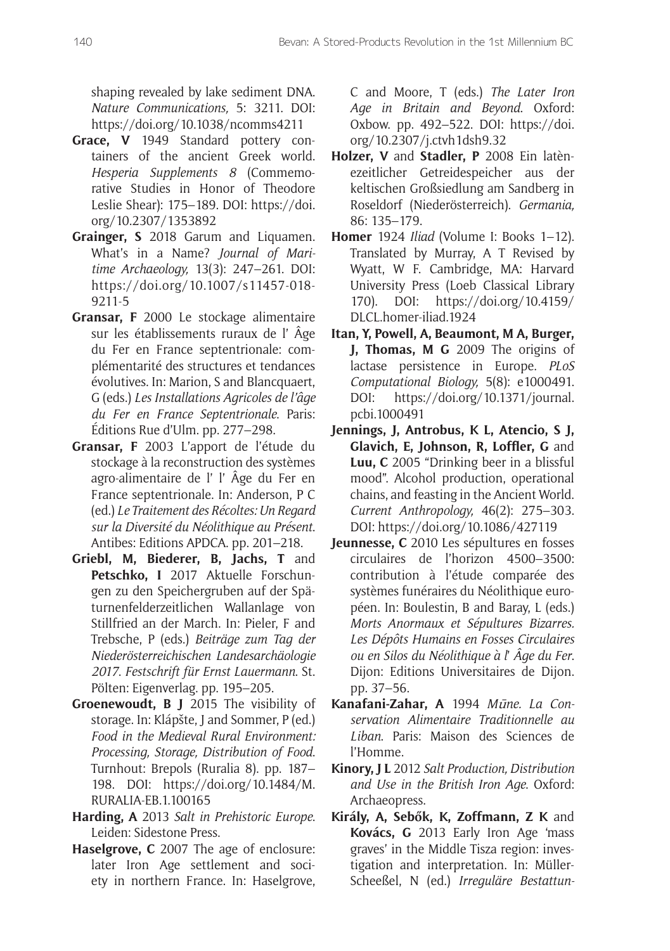shaping revealed by lake sediment DNA. *Nature Communications,* 5: 3211. DOI: <https://doi.org/10.1038/ncomms4211>

- **Grace, V** 1949 Standard pottery containers of the ancient Greek world. *Hesperia Supplements 8* (Commemorative Studies in Honor of Theodore Leslie Shear): 175–189. DOI: [https://doi.](https://doi.org/10.2307/1353892) [org/10.2307/1353892](https://doi.org/10.2307/1353892)
- **Grainger, S** 2018 Garum and Liquamen. What's in a Name? *Journal of Maritime Archaeology,* 13(3): 247–261. DOI: [https://doi.org/10.1007/s11457-018-](https://doi.org/10.1007/s11457-018-9211-5) [9211-5](https://doi.org/10.1007/s11457-018-9211-5)
- **Gransar, F** 2000 Le stockage alimentaire sur les établissements ruraux de l' Âge du Fer en France septentrionale: complémentarité des structures et tendances évolutives. In: Marion, S and Blancquaert, G (eds.) *Les Installations Agricoles de l'âge du Fer en France Septentrionale*. Paris: Éditions Rue d'Ulm. pp. 277–298.
- **Gransar, F** 2003 L'apport de l'étude du stockage à la reconstruction des systèmes agro-alimentaire de l' l' Âge du Fer en France septentrionale. In: Anderson, P C (ed.) *Le Traitement des Récoltes: Un Regard sur la Diversité du Néolithique au Présent*. Antibes: Editions APDCA. pp. 201–218.
- **Griebl, M, Biederer, B, Jachs, T** and Petschko, I 2017 Aktuelle Forschungen zu den Speichergruben auf der Späturnenfelderzeitlichen Wallanlage von Stillfried an der March. In: Pieler, F and Trebsche, P (eds.) *Beiträge zum Tag der Niederösterreichischen Landesarchäologie 2017*. *Festschrift für Ernst Lauermann*. St. Pölten: Eigenverlag. pp. 195–205.
- **Groenewoudt, B J** 2015 The visibility of storage. In: Klápšte, J and Sommer, P (ed.) *Food in the Medieval Rural Environment: Processing, Storage, Distribution of Food*. Turnhout: Brepols (Ruralia 8). pp. 187– 198. DOI: [https://doi.org/10.1484/M.](https://doi.org/10.1484/M.RURALIA-EB.1.100165) [RURALIA-EB.1.100165](https://doi.org/10.1484/M.RURALIA-EB.1.100165)
- **Harding, A** 2013 *Salt in Prehistoric Europe*. Leiden: Sidestone Press.
- **Haselgrove, C** 2007 The age of enclosure: later Iron Age settlement and society in northern France. In: Haselgrove,

C and Moore, T (eds.) *The Later Iron Age in Britain and Beyond*. Oxford: Oxbow. pp. 492–522. DOI: [https://doi.](https://doi.org/10.2307/j.ctvh1dsh9.32) [org/10.2307/j.ctvh1dsh9.32](https://doi.org/10.2307/j.ctvh1dsh9.32)

- **Holzer, V** and **Stadler, P** 2008 Ein latènezeitlicher Getreidespeicher aus der keltischen Großsiedlung am Sandberg in Roseldorf (Niederösterreich). *Germania,* 86: 135–179.
- **Homer** 1924 *Iliad* (Volume I: Books 1–12). Translated by Murray, A T Revised by Wyatt, W F. Cambridge, MA: Harvard University Press (Loeb Classical Library 170). DOI: [https://doi.org/10.4159/](https://doi.org/10.4159/DLCL.homer-iliad.1924) [DLCL.homer-iliad.1924](https://doi.org/10.4159/DLCL.homer-iliad.1924)
- **Itan, Y, Powell, A, Beaumont, M A, Burger, J, Thomas, M G** 2009 The origins of lactase persistence in Europe. *PLoS Computational Biology,* 5(8): e1000491. DOI: [https://doi.org/10.1371/journal.](https://doi.org/10.1371/journal.pcbi.1000491) [pcbi.1000491](https://doi.org/10.1371/journal.pcbi.1000491)
- **Jennings, J, Antrobus, K L, Atencio, S J, Glavich, E, Johnson, R, Loffler, G** and **Luu, C** 2005 "Drinking beer in a blissful mood". Alcohol production, operational chains, and feasting in the Ancient World. *Current Anthropology,* 46(2): 275–303. DOI: <https://doi.org/10.1086/427119>
- **Jeunnesse, C** 2010 Les sépultures en fosses circulaires de l'horizon 4500–3500: contribution à l'étude comparée des systèmes funéraires du Néolithique européen. In: Boulestin, B and Baray, L (eds.) *Morts Anormaux et Sépultures Bizarres. Les Dépôts Humains en Fosses Circulaires ou en Silos du Néolithique à l*' *Âge du Fer*. Dijon: Editions Universitaires de Dijon. pp. 37–56.
- **Kanafani-Zahar, A** 1994 *M*ū*ne. La Conservation Alimentaire Traditionnelle au Liban*. Paris: Maison des Sciences de l'Homme.
- **Kinory, J L** 2012 *Salt Production, Distribution and Use in the British Iron Age*. Oxford: Archaeopress.
- **Király, A, Sebők, K, Zoffmann, Z K** and **Kovács, G** 2013 Early Iron Age 'mass graves' in the Middle Tisza region: investigation and interpretation. In: Müller-Scheeßel, N (ed.) *Irreguläre Bestattun-*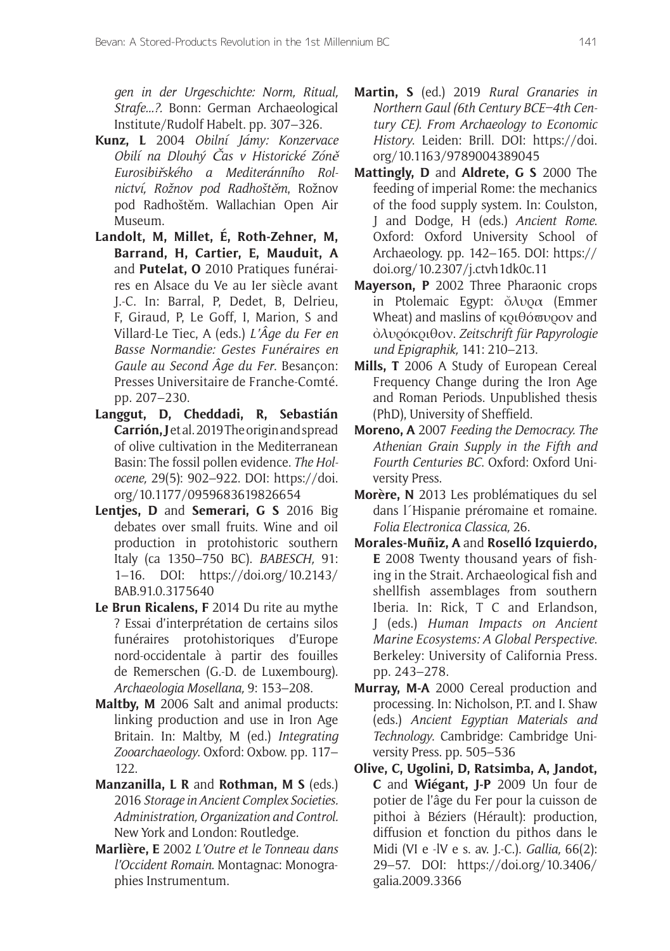*gen in der Urgeschichte: Norm, Ritual, Strafe...?.* Bonn: German Archaeological Institute/Rudolf Habelt. pp. 307–326.

- **Kunz, L** 2004 *Obilní Jámy: Konzervace Obilí na Dlouhý* Č*as v Historické Zón*<sup>ě</sup> *Eurosibi*ř*ského a Mediteránního Rolnictví, Rožnov pod Radhošt*ě*m*, Rožnov pod Radhoštěm. Wallachian Open Air Museum.
- **Landolt, M, Millet, É, Roth-Zehner, M, Barrand, H, Cartier, E, Mauduit, A**  and **Putelat, O** 2010 Pratiques funéraires en Alsace du Ve au Ier siècle avant J.-C. In: Barral, P, Dedet, B, Delrieu, F, Giraud, P, Le Goff, I, Marion, S and Villard-Le Tiec, A (eds.) *L'Âge du Fer en Basse Normandie: Gestes Funéraires en Gaule au Second Âge du Fer*. Besançon: Presses Universitaire de Franche-Comté. pp. 207–230.
- **Langgut, D, Cheddadi, R, Sebastián Carrión, J** et al. 2019 The origin and spread of olive cultivation in the Mediterranean Basin: The fossil pollen evidence. *The Holocene,* 29(5): 902–922. DOI: [https://doi.](https://doi.org/10.1177/0959683619826654) [org/10.1177/0959683619826654](https://doi.org/10.1177/0959683619826654)
- **Lentjes, D** and **Semerari, G S** 2016 Big debates over small fruits. Wine and oil production in protohistoric southern Italy (ca 1350–750 BC). *BABESCH,* 91: 1–16. DOI: [https://doi.org/10.2143/](https://doi.org/10.2143/BAB.91.0.3175640) [BAB.91.0.3175640](https://doi.org/10.2143/BAB.91.0.3175640)
- **Le Brun Ricalens, F** 2014 Du rite au mythe ? Essai d'interprétation de certains silos funéraires protohistoriques d'Europe nord-occidentale à partir des fouilles de Remerschen (G.-D. de Luxembourg). *Archaeologia Mosellana,* 9: 153–208.
- **Maltby, M** 2006 Salt and animal products: linking production and use in Iron Age Britain. In: Maltby, M (ed.) *Integrating Zooarchaeology*. Oxford: Oxbow. pp. 117– 122.
- **Manzanilla, L R** and **Rothman, M S** (eds.) 2016 *Storage in Ancient Complex Societies. Administration, Organization and Control.*  New York and London: Routledge.
- **Marlière, E** 2002 *L'Outre et le Tonneau dans l'Occident Romain*. Montagnac: Monographies Instrumentum.
- **Martin, S** (ed.) 2019 *Rural Granaries in Northern Gaul (6th Century BCE–4th Century CE). From Archaeology to Economic History*. Leiden: Brill. DOI: [https://doi.](https://doi.org/10.1163/9789004389045) [org/10.1163/9789004389045](https://doi.org/10.1163/9789004389045)
- **Mattingly, D** and **Aldrete, G S** 2000 The feeding of imperial Rome: the mechanics of the food supply system. In: Coulston, J and Dodge, H (eds.) *Ancient Rome*. Oxford: Oxford University School of Archaeology. pp. 142–165. DOI: [https://](https://doi.org/10.2307/j.ctvh1dk0c.11) [doi.org/10.2307/j.ctvh1dk0c.11](https://doi.org/10.2307/j.ctvh1dk0c.11)
- **Mayerson, P** 2002 Three Pharaonic crops in Ptolemaic Egypt: ὄλυρα (Emmer Wheat) and maslins of κριθόπυρον and ὀλυρόκριθον. *Zeitschrift für Papyrologie und Epigraphik,* 141: 210–213.
- **Mills, T** 2006 A Study of European Cereal Frequency Change during the Iron Age and Roman Periods. Unpublished thesis (PhD), University of Sheffield.
- **Moreno, A** 2007 *Feeding the Democracy. The Athenian Grain Supply in the Fifth and Fourth Centuries BC*. Oxford: Oxford University Press.
- **Morère, N** 2013 Les problématiques du sel dans l´Hispanie préromaine et romaine. *Folia Electronica Classica,* 26.
- **Morales-Muñiz, A** and **Roselló Izquierdo, E** 2008 Twenty thousand years of fishing in the Strait. Archaeological fish and shellfish assemblages from southern Iberia. In: Rick, T C and Erlandson, J (eds.) *Human Impacts on Ancient Marine Ecosystems: A Global Perspective*. Berkeley: University of California Press. pp. 243–278.
- **Murray, M-A** 2000 Cereal production and processing. In: Nicholson, P.T. and I. Shaw (eds.) *Ancient Egyptian Materials and Technology*. Cambridge: Cambridge University Press. pp. 505–536
- **Olive, C, Ugolini, D, Ratsimba, A, Jandot, C** and **Wiégant, J-P** 2009 Un four de potier de l'âge du Fer pour la cuisson de pithoi à Béziers (Hérault): production, diffusion et fonction du pithos dans le Midi (VI e -lV e s. av. J.-C.). *Gallia,* 66(2): 29–57. DOI: [https://doi.org/10.3406/](https://doi.org/10.3406/galia.2009.3366) [galia.2009.3366](https://doi.org/10.3406/galia.2009.3366)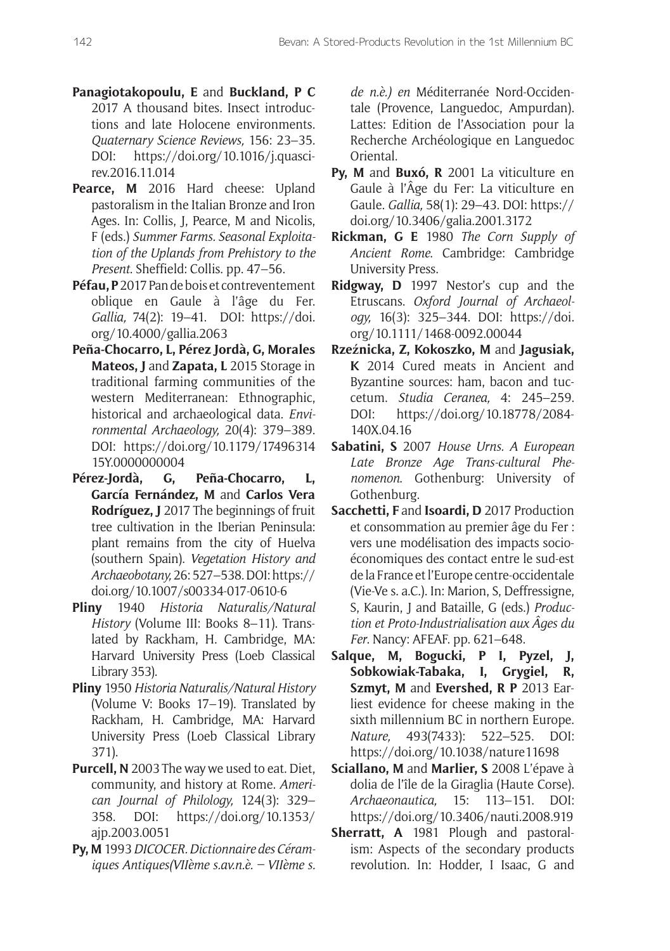- **Panagiotakopoulu, E** and **Buckland, P C** 2017 A thousand bites. Insect introductions and late Holocene environments. *Quaternary Science Reviews,* 156: 23–35. DOI: [https://doi.org/10.1016/j.quasci](https://doi.org/10.1016/j.quascirev.2016.11.014)[rev.2016.11.014](https://doi.org/10.1016/j.quascirev.2016.11.014)
- Pearce, M 2016 Hard cheese: Upland pastoralism in the Italian Bronze and Iron Ages. In: Collis, J, Pearce, M and Nicolis, F (eds.) *Summer Farms. Seasonal Exploitation of the Uplands from Prehistory to the Present*. Sheffield: Collis. pp. 47–56.
- **Péfau, P** 2017 Pan de bois et contreventement oblique en Gaule à l'âge du Fer. *Gallia,* 74(2): 19–41. DOI: [https://doi.](https://doi.org/10.4000/gallia.2063) [org/10.4000/gallia.2063](https://doi.org/10.4000/gallia.2063)
- **Peña-Chocarro, L, Pérez Jordà, G, Morales Mateos, J** and **Zapata, L** 2015 Storage in traditional farming communities of the western Mediterranean: Ethnographic, historical and archaeological data. *Environmental Archaeology,* 20(4): 379–389. DOI: [https://doi.org/10.1179/17496314](https://doi.org/10.1179/1749631415Y.0000000004) [15Y.0000000004](https://doi.org/10.1179/1749631415Y.0000000004)
- **Pérez-Jordà, G, Peña-Chocarro, L, García Fernández, M** and **Carlos Vera Rodríguez, J** 2017 The beginnings of fruit tree cultivation in the Iberian Peninsula: plant remains from the city of Huelva (southern Spain). *Vegetation History and Archaeobotany,* 26: 527–538. DOI: [https://](https://doi.org/10.1007/s00334-017-0610-6) [doi.org/10.1007/s00334-017-0610-6](https://doi.org/10.1007/s00334-017-0610-6)
- **Pliny** 1940 *Historia Naturalis/Natural History* (Volume III: Books 8–11). Translated by Rackham, H. Cambridge, MA: Harvard University Press (Loeb Classical Library 353).
- **Pliny** 1950 *Historia Naturalis/Natural History* (Volume V: Books 17–19). Translated by Rackham, H. Cambridge, MA: Harvard University Press (Loeb Classical Library 371).
- **Purcell, N** 2003 The way we used to eat. Diet, community, and history at Rome. *American Journal of Philology,* 124(3): 329– 358. DOI: [https://doi.org/10.1353/](https://doi.org/10.1353/ajp.2003.0051) [ajp.2003.0051](https://doi.org/10.1353/ajp.2003.0051)
- **Py, M** 1993 *DICOCER. Dictionnaire des Céramiques Antiques(VIIème s.av.n.è. – VIIème s.*

*de n.è.) en* Méditerranée Nord-Occidentale (Provence, Languedoc, Ampurdan). Lattes: Edition de l'Association pour la Recherche Archéologique en Languedoc Oriental.

- **Py, M** and **Buxó, R** 2001 La viticulture en Gaule à l'Âge du Fer: La viticulture en Gaule. *Gallia,* 58(1): 29–43. DOI: [https://](https://doi.org/10.3406/galia.2001.3172) [doi.org/10.3406/galia.2001.3172](https://doi.org/10.3406/galia.2001.3172)
- **Rickman, G E** 1980 *The Corn Supply of Ancient Rome*. Cambridge: Cambridge University Press.
- **Ridgway, D** 1997 Nestor's cup and the Etruscans. *Oxford Journal of Archaeology,* 16(3): 325–344. DOI: [https://doi.](https://doi.org/10.1111/1468-0092.00044) [org/10.1111/1468-0092.00044](https://doi.org/10.1111/1468-0092.00044)
- **Rzeźnicka, Z, Kokoszko, M** and **Jagusiak, K** 2014 Cured meats in Ancient and Byzantine sources: ham, bacon and tuccetum. *Studia Ceranea,* 4: 245–259. DOI: [https://doi.org/10.18778/2084-](https://doi.org/10.18778/2084-140X.04.16) [140X.04.16](https://doi.org/10.18778/2084-140X.04.16)
- **Sabatini, S** 2007 *House Urns. A European Late Bronze Age Trans-cultural Phenomenon*. Gothenburg: University of Gothenburg.
- **Sacchetti, F** and **Isoardi, D** 2017 Production et consommation au premier âge du Fer : vers une modélisation des impacts socioéconomiques des contact entre le sud-est de la France et l'Europe centre-occidentale (Vie-Ve s. a.C.). In: Marion, S, Deffressigne, S, Kaurin, J and Bataille, G (eds.) *Production et Proto-Industrialisation aux Âges du Fer*. Nancy: AFEAF. pp. 621–648.
- **Salque, M, Bogucki, P I, Pyzel, J, Sobkowiak-Tabaka, I, Grygiel, R, Szmyt, M** and **Evershed, R P** 2013 Earliest evidence for cheese making in the sixth millennium BC in northern Europe. *Nature,* 493(7433): 522–525. DOI: <https://doi.org/10.1038/nature11698>
- **Sciallano, M** and **Marlier, S** 2008 L'épave à dolia de l'île de la Giraglia (Haute Corse). *Archaeonautica,* 15: 113–151. DOI: <https://doi.org/10.3406/nauti.2008.919>
- **Sherratt, A** 1981 Plough and pastoralism: Aspects of the secondary products revolution. In: Hodder, I Isaac, G and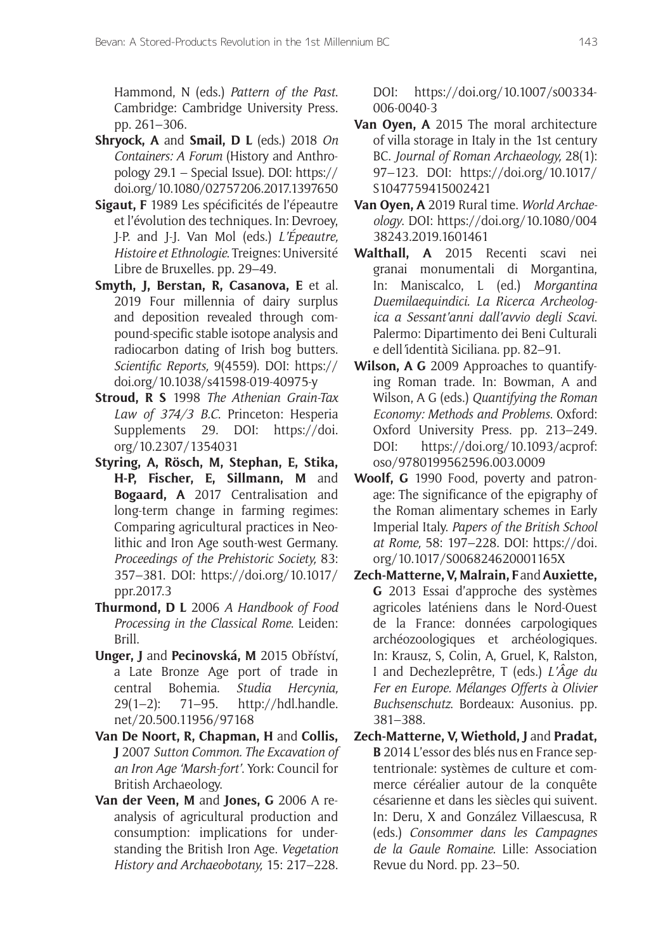Hammond, N (eds.) *Pattern of the Past*. Cambridge: Cambridge University Press. pp. 261–306.

- **Shryock, A** and **Smail, D L** (eds.) 2018 *On Containers: A Forum* (History and Anthropology 29.1 – Special Issue). DOI: [https://](https://doi.org/10.1080/02757206.2017.1397650) [doi.org/10.1080/02757206.2017.1397650](https://doi.org/10.1080/02757206.2017.1397650)
- **Sigaut, F** 1989 Les spécificités de l'épeautre et l'évolution des techniques. In: Devroey, J-P. and J-J. Van Mol (eds.) *L'Épeautre, Histoire et Ethnologie*. Treignes: Université Libre de Bruxelles. pp. 29–49.
- **Smyth, J, Berstan, R, Casanova, E** et al. 2019 Four millennia of dairy surplus and deposition revealed through compound-specific stable isotope analysis and radiocarbon dating of Irish bog butters. *Scientific Reports,* 9(4559). DOI: [https://](https://doi.org/10.1038/s41598-019-40975-y) [doi.org/10.1038/s41598-019-40975-y](https://doi.org/10.1038/s41598-019-40975-y)
- **Stroud, R S** 1998 *The Athenian Grain-Tax Law of 374/3 B.C*. Princeton: Hesperia Supplements 29. DOI: [https://doi.](https://doi.org/10.2307/1354031) [org/10.2307/1354031](https://doi.org/10.2307/1354031)
- **Styring, A, Rösch, M, Stephan, E, Stika, H-P, Fischer, E, Sillmann, M** and **Bogaard, A** 2017 Centralisation and long-term change in farming regimes: Comparing agricultural practices in Neolithic and Iron Age south-west Germany. *Proceedings of the Prehistoric Society,* 83: 357–381. DOI: [https://doi.org/10.1017/](https://doi.org/10.1017/ppr.2017.3) [ppr.2017.3](https://doi.org/10.1017/ppr.2017.3)
- **Thurmond, D L** 2006 *A Handbook of Food Processing in the Classical Rome*. Leiden: Brill.
- **Unger, J** and **Pecinovská, M** 2015 Obříství, a Late Bronze Age port of trade in central Bohemia. *Studia Hercynia,* 29(1–2): 71–95. [http://hdl.handle.](http://hdl.handle.net/20.500.11956/97168) [net/20.500.11956/97168](http://hdl.handle.net/20.500.11956/97168)
- **Van De Noort, R, Chapman, H** and **Collis, J** 2007 *Sutton Common. The Excavation of an Iron Age 'Marsh-fort'*. York: Council for British Archaeology.
- **Van der Veen, M** and **Jones, G** 2006 A reanalysis of agricultural production and consumption: implications for understanding the British Iron Age. *Vegetation History and Archaeobotany,* 15: 217–228.

DOI: [https://doi.org/10.1007/s00334-](https://doi.org/10.1007/s00334-006-0040-3) [006-0040-3](https://doi.org/10.1007/s00334-006-0040-3)

- **Van Oyen, A** 2015 The moral architecture of villa storage in Italy in the 1st century BC. *Journal of Roman Archaeology,* 28(1): 97–123. DOI: [https://doi.org/10.1017/](https://doi.org/10.1017/S1047759415002421) [S1047759415002421](https://doi.org/10.1017/S1047759415002421)
- **Van Oyen, A** 2019 Rural time. *World Archaeology*. DOI: [https://doi.org/10.1080/004](https://doi.org/10.1080/00438243.2019.1601461) [38243.2019.1601461](https://doi.org/10.1080/00438243.2019.1601461)
- **Walthall, A** 2015 Recenti scavi nei granai monumentali di Morgantina, In: Maniscalco, L (ed.) *Morgantina Duemilaequindici. La Ricerca Archeologica a Sessant'anni dall'avvio degli Scavi*. Palermo: Dipartimento dei Beni Culturali e dell*'*identità Siciliana. pp. 82–91.
- **Wilson, A G** 2009 Approaches to quantifying Roman trade. In: Bowman, A and Wilson, A G (eds.) *Quantifying the Roman Economy: Methods and Problems*. Oxford: Oxford University Press. pp. 213–249. DOI: [https://doi.org/10.1093/acprof:](https://doi.org/10.1093/acprof:oso/9780199562596.003.0009) [oso/9780199562596.003.0009](https://doi.org/10.1093/acprof:oso/9780199562596.003.0009)
- **Woolf, G** 1990 Food, poverty and patronage: The significance of the epigraphy of the Roman alimentary schemes in Early Imperial Italy. *Papers of the British School at Rome,* 58: 197–228. DOI: [https://doi.](https://doi.org/10.1017/S006824620001165X) [org/10.1017/S006824620001165X](https://doi.org/10.1017/S006824620001165X)
- **Zech-Matterne, V, Malrain, F** and **Auxiette, G** 2013 Essai d'approche des systèmes agricoles laténiens dans le Nord-Ouest de la France: données carpologiques archéozoologiques et archéologiques. In: Krausz, S, Colin, A, Gruel, K, Ralston, I and Dechezleprêtre, T (eds.) *L'Âge du Fer en Europe. Mélanges Offerts à Olivier Buchsenschutz*. Bordeaux: Ausonius. pp. 381–388.
- **Zech-Matterne, V, Wiethold, J** and **Pradat, B** 2014 L'essor des blés nus en France septentrionale: systèmes de culture et commerce céréalier autour de la conquête césarienne et dans les siècles qui suivent. In: Deru, X and González Villaescusa, R (eds.) *Consommer dans les Campagnes de la Gaule Romaine*. Lille: Association Revue du Nord. pp. 23–50.